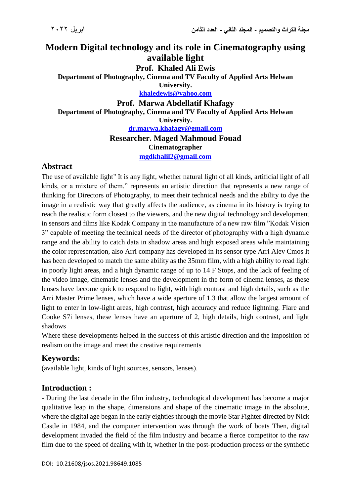# **Modern Digital technology and its role in Cinematography using available light**

### **Prof. Khaled Ali Ewis**

**Department of Photography, Cinema and TV Faculty of Applied Arts Helwan University.**

**[khaledewis@yahoo.com](mailto:khaledewis@yahoo.com)**

**Prof. Marwa Abdellatif Khafagy Department of Photography, Cinema and TV Faculty of Applied Arts Helwan University. [dr.marwa.khafagy@gmail.com](mailto:dr.marwa.khafagy@gmail.com)**

**Researcher. Maged Mahmoud Fouad**

**Cinematographer [mgdkhalil2@gmail.com](mailto:mgdkhalil2@gmail.com)**

## **Abstract**

The use of available light" It is any light, whether natural light of all kinds, artificial light of all kinds, or a mixture of them." represents an artistic direction that represents a new range of thinking for Directors of Photography, to meet their technical needs and the ability to dye the image in a realistic way that greatly affects the audience, as cinema in its history is trying to reach the realistic form closest to the viewers, and the new digital technology and development in sensors and films like Kodak Company in the manufacture of a new raw film "Kodak Vision 3" capable of meeting the technical needs of the director of photography with a high dynamic range and the ability to catch data in shadow areas and high exposed areas while maintaining the color representation, also Arri company has developed in its sensor type Arri Alev Cmos It has been developed to match the same ability as the 35mm film, with a high ability to read light in poorly light areas, and a high dynamic range of up to 14 F Stops, and the lack of feeling of the video image, cinematic lenses and the development in the form of cinema lenses, as these lenses have become quick to respond to light, with high contrast and high details, such as the Arri Master Prime lenses, which have a wide aperture of 1.3 that allow the largest amount of light to enter in low-light areas, high contrast, high accuracy and reduce lightning. Flare and Cooke S7i lenses, these lenses have an aperture of 2, high details, high contrast, and light shadows

Where these developments helped in the success of this artistic direction and the imposition of realism on the image and meet the creative requirements

# **Keywords:**

(available light, kinds of light sources, sensors, lenses).

# **Introduction :**

- During the last decade in the film industry, technological development has become a major qualitative leap in the shape, dimensions and shape of the cinematic image in the absolute, where the digital age began in the early eighties through the movie Star Fighter directed by Nick Castle in 1984, and the computer intervention was through the work of boats Then, digital development invaded the field of the film industry and became a fierce competitor to the raw film due to the speed of dealing with it, whether in the post-production process or the synthetic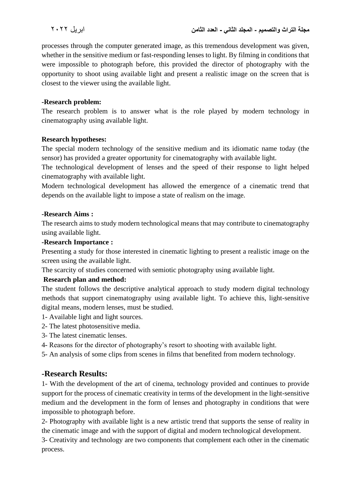processes through the computer generated image, as this tremendous development was given, whether in the sensitive medium or fast-responding lenses to light. By filming in conditions that were impossible to photograph before, this provided the director of photography with the opportunity to shoot using available light and present a realistic image on the screen that is closest to the viewer using the available light.

#### **-Research problem:**

The research problem is to answer what is the role played by modern technology in cinematography using available light.

#### **Research hypotheses:**

The special modern technology of the sensitive medium and its idiomatic name today (the sensor) has provided a greater opportunity for cinematography with available light.

The technological development of lenses and the speed of their response to light helped cinematography with available light.

Modern technological development has allowed the emergence of a cinematic trend that depends on the available light to impose a state of realism on the image.

#### **-Research Aims :**

The research aims to study modern technological means that may contribute to cinematography using available light.

#### **-Research Importance :**

Presenting a study for those interested in cinematic lighting to present a realistic image on the screen using the available light.

The scarcity of studies concerned with semiotic photography using available light.

### **Research plan and method:**

The student follows the descriptive analytical approach to study modern digital technology methods that support cinematography using available light. To achieve this, light-sensitive digital means, modern lenses, must be studied.

- 1- Available light and light sources.
- 2- The latest photosensitive media.
- 3- The latest cinematic lenses.
- 4- Reasons for the director of photography's resort to shooting with available light.
- 5- An analysis of some clips from scenes in films that benefited from modern technology.

### **-Research Results:**

1- With the development of the art of cinema, technology provided and continues to provide support for the process of cinematic creativity in terms of the development in the light-sensitive medium and the development in the form of lenses and photography in conditions that were impossible to photograph before.

2- Photography with available light is a new artistic trend that supports the sense of reality in the cinematic image and with the support of digital and modern technological development.

3- Creativity and technology are two components that complement each other in the cinematic process.